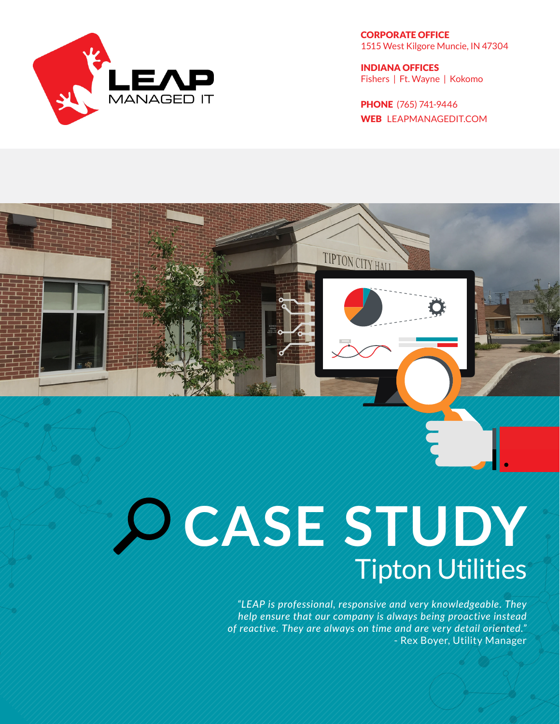

CORPORATE OFFICE 1515 West Kilgore Muncie, IN 47304

INDIANA OFFICES Fishers | Ft. Wayne | Kokomo

PHONE (765) 741-9446 WEB LEAPMANAGEDIT.COM

# **CASE STUDY** Tipton Utilities

*"LEAP is professional, responsive and very knowledgeable. They help ensure that our company is always being proactive instead of reactive. They are always on time and are very detail oriented."* - Rex Boyer, Utility Manager

TIPTON CITY HALL